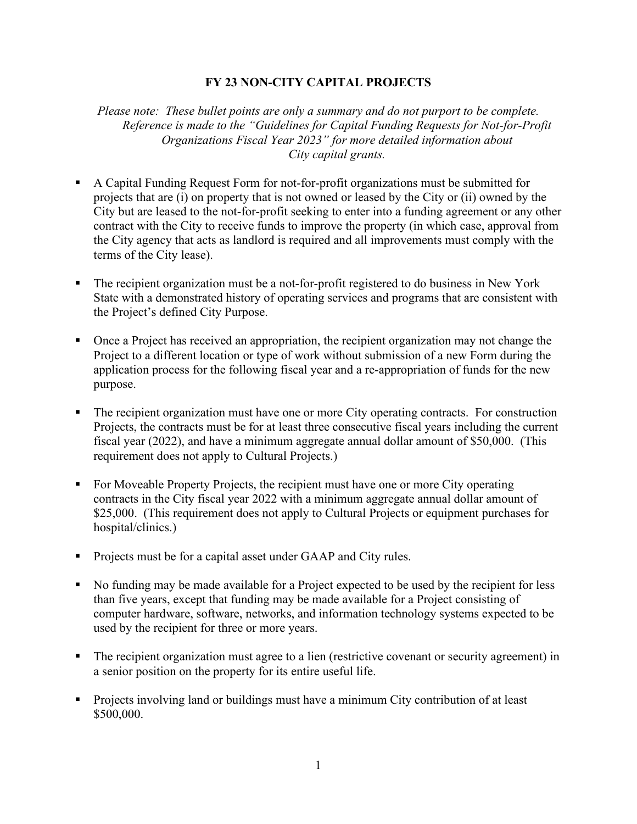## **FY 23 NON-CITY CAPITAL PROJECTS**

*Please note: These bullet points are only a summary and do not purport to be complete. Reference is made to the "Guidelines for Capital Funding Requests for Not-for-Profit Organizations Fiscal Year 2023" for more detailed information about City capital grants.* 

- A Capital Funding Request Form for not-for-profit organizations must be submitted for projects that are (i) on property that is not owned or leased by the City or (ii) owned by the City but are leased to the not-for-profit seeking to enter into a funding agreement or any other contract with the City to receive funds to improve the property (in which case, approval from the City agency that acts as landlord is required and all improvements must comply with the terms of the City lease).
- The recipient organization must be a not-for-profit registered to do business in New York State with a demonstrated history of operating services and programs that are consistent with the Project's defined City Purpose.
- Once a Project has received an appropriation, the recipient organization may not change the Project to a different location or type of work without submission of a new Form during the application process for the following fiscal year and a re-appropriation of funds for the new purpose.
- The recipient organization must have one or more City operating contracts. For construction Projects, the contracts must be for at least three consecutive fiscal years including the current fiscal year (2022), and have a minimum aggregate annual dollar amount of \$50,000. (This requirement does not apply to Cultural Projects.)
- For Moveable Property Projects, the recipient must have one or more City operating contracts in the City fiscal year 2022 with a minimum aggregate annual dollar amount of \$25,000. (This requirement does not apply to Cultural Projects or equipment purchases for hospital/clinics.)
- **Projects must be for a capital asset under GAAP and City rules.**
- No funding may be made available for a Project expected to be used by the recipient for less than five years, except that funding may be made available for a Project consisting of computer hardware, software, networks, and information technology systems expected to be used by the recipient for three or more years.
- The recipient organization must agree to a lien (restrictive covenant or security agreement) in a senior position on the property for its entire useful life.
- Projects involving land or buildings must have a minimum City contribution of at least \$500,000.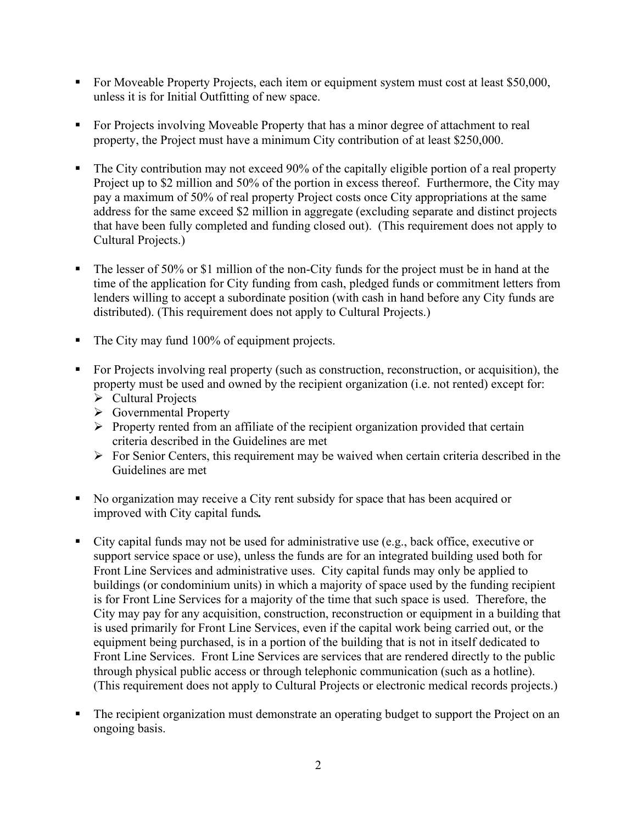- For Moveable Property Projects, each item or equipment system must cost at least \$50,000, unless it is for Initial Outfitting of new space.
- For Projects involving Moveable Property that has a minor degree of attachment to real property, the Project must have a minimum City contribution of at least \$250,000.
- The City contribution may not exceed 90% of the capitally eligible portion of a real property Project up to \$2 million and 50% of the portion in excess thereof. Furthermore, the City may pay a maximum of 50% of real property Project costs once City appropriations at the same address for the same exceed \$2 million in aggregate (excluding separate and distinct projects that have been fully completed and funding closed out). (This requirement does not apply to Cultural Projects.)
- The lesser of 50% or \$1 million of the non-City funds for the project must be in hand at the time of the application for City funding from cash, pledged funds or commitment letters from lenders willing to accept a subordinate position (with cash in hand before any City funds are distributed). (This requirement does not apply to Cultural Projects.)
- The City may fund 100% of equipment projects.
- For Projects involving real property (such as construction, reconstruction, or acquisition), the property must be used and owned by the recipient organization (i.e. not rented) except for:
	- $\triangleright$  Cultural Projects
	- Governmental Property
	- $\triangleright$  Property rented from an affiliate of the recipient organization provided that certain criteria described in the Guidelines are met
	- $\triangleright$  For Senior Centers, this requirement may be waived when certain criteria described in the Guidelines are met
- No organization may receive a City rent subsidy for space that has been acquired or improved with City capital funds*.*
- City capital funds may not be used for administrative use (e.g., back office, executive or support service space or use), unless the funds are for an integrated building used both for Front Line Services and administrative uses. City capital funds may only be applied to buildings (or condominium units) in which a majority of space used by the funding recipient is for Front Line Services for a majority of the time that such space is used. Therefore, the City may pay for any acquisition, construction, reconstruction or equipment in a building that is used primarily for Front Line Services, even if the capital work being carried out, or the equipment being purchased, is in a portion of the building that is not in itself dedicated to Front Line Services. Front Line Services are services that are rendered directly to the public through physical public access or through telephonic communication (such as a hotline). (This requirement does not apply to Cultural Projects or electronic medical records projects.)
- The recipient organization must demonstrate an operating budget to support the Project on an ongoing basis.